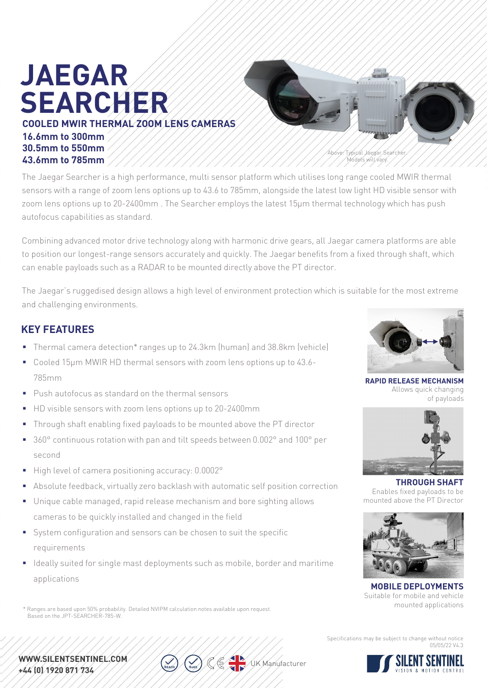## **JAEGAR SEARCHER COOLED MWIR THERMAL ZOOM LENS CAMERAS**

**16.6mm to 300mm 30.5mm to 550mm 43.6mm to 785mm**

Above: Typical Jaegar Searcher. Models will vary.

The Jaegar Searcher is a high performance, multi sensor platform which utilises long range cooled MWIR thermal sensors with a range of zoom lens options up to 43.6 to 785mm, alongside the latest low light HD visible sensor with zoom lens options up to 20-2400mm . The Searcher employs the latest 15μm thermal technology which has push autofocus capabilities as standard.

Combining advanced motor drive technology along with harmonic drive gears, all Jaegar camera platforms are able to position our longest-range sensors accurately and quickly. The Jaegar benefits from a fixed through shaft, which can enable payloads such as a RADAR to be mounted directly above the PT director.

The Jaegar's ruggedised design allows a high level of environment protection which is suitable for the most extreme and challenging environments.

## **KEY FEATURES**

- Thermal camera detection\* ranges up to 24.3km (human) and 38.8km (vehicle)
- Cooled 15µm MWIR HD thermal sensors with zoom lens options up to 43.6 785mm
- **Push autofocus as standard on the thermal sensors**
- HD visible sensors with zoom lens options up to 20-2400mm
- Through shaft enabling fixed payloads to be mounted above the PT director
- 360° continuous rotation with pan and tilt speeds between 0.002° and 100° per second
- High level of camera positioning accuracy: 0.0002°
- Absolute feedback, virtually zero backlash with automatic self position correction
- Unique cable managed, rapid release mechanism and bore sighting allows cameras to be quickly installed and changed in the field
- System configuration and sensors can be chosen to suit the specific requirements
- I Ideally suited for single mast deployments such as mobile, border and maritime applications

mounted applications \* Ranges are based upon 50% probability. Detailed NVIPM calculation notes available upon request. Based on the JPT-SEARCHER-785-W.



**RAPID RELEASE MECHANISM** Allows quick changing of payloads



**THROUGH SHAFT** Enables fixed payloads to be mounted above the PT Director



**MOBILE DEPLOYMENTS** Suitable for mobile and vehicle

Specifications may be subject to change without notice 05/05/22 V4.3



WWW.SILENTSENTINEL.COM. +44 (0) 1920 871 734

**LK Manufacturer**